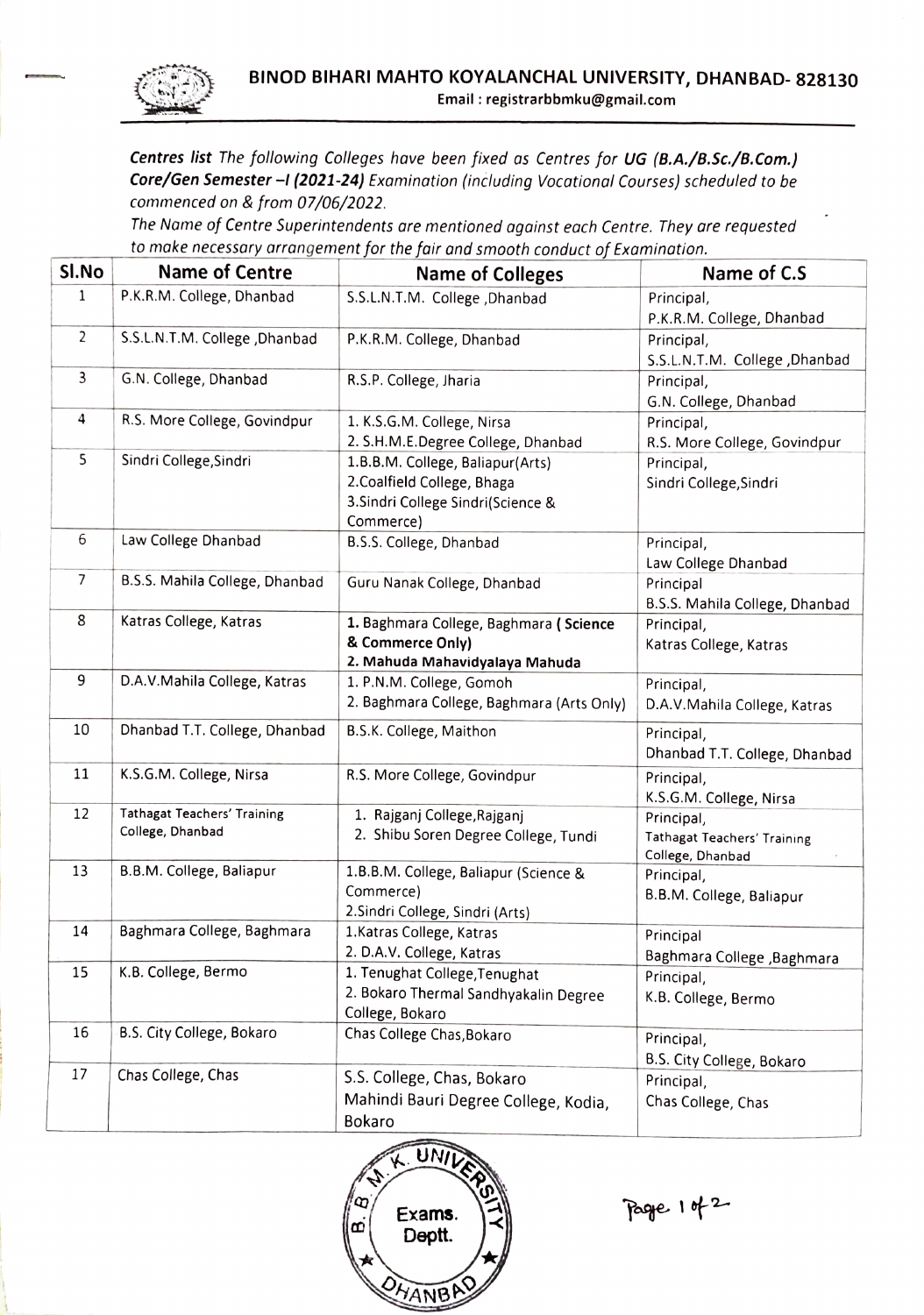

Centres list The following Colleges have been fixed as Centres for UG (B.A./8.Sc./B.Com.) Core/Gen Semester -I (2021-24) Examination (including Vocational Courses) scheduled to be commenced on & from 07/06/2022.

The Name of Centre Superintendents are mentioned against each Centre. They are requested to make necessary arrangement for the fair and smooth conduct of Examination.

| SI.No        | <b>Name of Centre</b>                                  | <b>Name of Colleges</b>                                                                                            | Name of C.S                                                   |
|--------------|--------------------------------------------------------|--------------------------------------------------------------------------------------------------------------------|---------------------------------------------------------------|
| $\mathbf{1}$ | P.K.R.M. College, Dhanbad                              | S.S.L.N.T.M. College , Dhanbad                                                                                     | Principal,<br>P.K.R.M. College, Dhanbad                       |
| 2            | S.S.L.N.T.M. College , Dhanbad                         | P.K.R.M. College, Dhanbad                                                                                          | Principal,<br>S.S.L.N.T.M. College ,Dhanbad                   |
| 3            | G.N. College, Dhanbad                                  | R.S.P. College, Jharia                                                                                             | Principal,<br>G.N. College, Dhanbad                           |
| 4            | R.S. More College, Govindpur                           | 1. K.S.G.M. College, Nirsa<br>2. S.H.M.E.Degree College, Dhanbad                                                   | Principal,<br>R.S. More College, Govindpur                    |
| 5            | Sindri College, Sindri                                 | 1.B.B.M. College, Baliapur(Arts)<br>2. Coalfield College, Bhaga<br>3. Sindri College Sindri(Science &<br>Commerce) | Principal,<br>Sindri College, Sindri                          |
| 6            | Law College Dhanbad                                    | B.S.S. College, Dhanbad                                                                                            | Principal,<br>Law College Dhanbad                             |
| 7            | B.S.S. Mahila College, Dhanbad                         | Guru Nanak College, Dhanbad                                                                                        | Principal<br>B.S.S. Mahila College, Dhanbad                   |
| 8            | Katras College, Katras                                 | 1. Baghmara College, Baghmara (Science<br>& Commerce Only)<br>2. Mahuda Mahavidyalaya Mahuda                       | Principal,<br>Katras College, Katras                          |
| 9            | D.A.V.Mahila College, Katras                           | 1. P.N.M. College, Gomoh<br>2. Baghmara College, Baghmara (Arts Only)                                              | Principal,<br>D.A.V.Mahila College, Katras                    |
| 10           | Dhanbad T.T. College, Dhanbad                          | B.S.K. College, Maithon                                                                                            | Principal,<br>Dhanbad T.T. College, Dhanbad                   |
| 11           | K.S.G.M. College, Nirsa                                | R.S. More College, Govindpur                                                                                       | Principal,<br>K.S.G.M. College, Nirsa                         |
| 12           | <b>Tathagat Teachers' Training</b><br>College, Dhanbad | 1. Rajganj College, Rajganj<br>2. Shibu Soren Degree College, Tundi                                                | Principal,<br>Tathagat Teachers' Training<br>College, Dhanbad |
| 13           | B.B.M. College, Baliapur                               | 1.B.B.M. College, Baliapur (Science &<br>Commerce)<br>2. Sindri College, Sindri (Arts)                             | Principal,<br>B.B.M. College, Baliapur                        |
| 14           | Baghmara College, Baghmara                             | 1. Katras College, Katras<br>2. D.A.V. College, Katras                                                             | Principal<br>Baghmara College , Baghmara                      |
| 15           | K.B. College, Bermo                                    | 1. Tenughat College, Tenughat<br>2. Bokaro Thermal Sandhyakalin Degree<br>College, Bokaro                          | Principal,<br>K.B. College, Bermo                             |
| 16           | B.S. City College, Bokaro                              | Chas College Chas, Bokaro                                                                                          | Principal,<br>B.S. City College, Bokaro                       |
| 17           | Chas College, Chas                                     | S.S. College, Chas, Bokaro<br>Mahindi Bauri Degree College, Kodia,<br>Bokaro                                       | Principal,<br>Chas College, Chas                              |